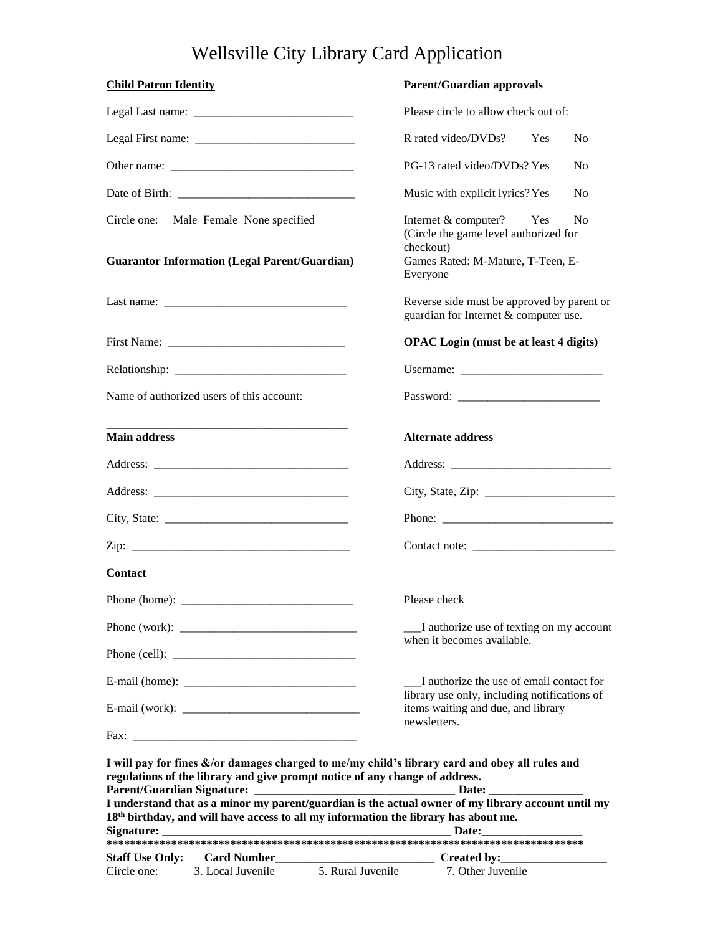## Wellsville City Library Card Application

| <b>Child Patron Identity</b> |                                                                                                |                   | <b>Parent/Guardian approvals</b>                                                                                                                                                                                                                                                                        |                |  |
|------------------------------|------------------------------------------------------------------------------------------------|-------------------|---------------------------------------------------------------------------------------------------------------------------------------------------------------------------------------------------------------------------------------------------------------------------------------------------------|----------------|--|
|                              |                                                                                                |                   | Please circle to allow check out of:                                                                                                                                                                                                                                                                    |                |  |
|                              |                                                                                                |                   | R rated video/DVDs?<br><b>Yes</b>                                                                                                                                                                                                                                                                       | N <sub>0</sub> |  |
|                              |                                                                                                |                   | PG-13 rated video/DVDs? Yes                                                                                                                                                                                                                                                                             | N <sub>0</sub> |  |
|                              |                                                                                                |                   | Music with explicit lyrics? Yes                                                                                                                                                                                                                                                                         | N <sub>0</sub> |  |
|                              | Circle one: Male Female None specified<br><b>Guarantor Information (Legal Parent/Guardian)</b> |                   | Internet & computer?<br>Yes<br>(Circle the game level authorized for<br>checkout)<br>Games Rated: M-Mature, T-Teen, E-<br>Everyone                                                                                                                                                                      | N <sub>0</sub> |  |
|                              |                                                                                                |                   | Reverse side must be approved by parent or<br>guardian for Internet & computer use.                                                                                                                                                                                                                     |                |  |
|                              |                                                                                                |                   | <b>OPAC</b> Login (must be at least 4 digits)                                                                                                                                                                                                                                                           |                |  |
|                              |                                                                                                |                   | Username:                                                                                                                                                                                                                                                                                               |                |  |
|                              | Name of authorized users of this account:                                                      |                   |                                                                                                                                                                                                                                                                                                         |                |  |
| <b>Main address</b>          |                                                                                                |                   | <b>Alternate address</b>                                                                                                                                                                                                                                                                                |                |  |
|                              |                                                                                                |                   |                                                                                                                                                                                                                                                                                                         |                |  |
|                              |                                                                                                |                   |                                                                                                                                                                                                                                                                                                         |                |  |
|                              | City, State: $\frac{1}{\sqrt{1-\frac{1}{2}} \cdot \frac{1}{2}}$                                |                   |                                                                                                                                                                                                                                                                                                         |                |  |
|                              | Zip: $\qquad \qquad$                                                                           |                   |                                                                                                                                                                                                                                                                                                         |                |  |
| Contact                      |                                                                                                |                   |                                                                                                                                                                                                                                                                                                         |                |  |
| Phone (home):                |                                                                                                |                   | Please check                                                                                                                                                                                                                                                                                            |                |  |
|                              |                                                                                                |                   | I authorize use of texting on my account                                                                                                                                                                                                                                                                |                |  |
|                              |                                                                                                |                   | when it becomes available.                                                                                                                                                                                                                                                                              |                |  |
|                              |                                                                                                |                   | I authorize the use of email contact for                                                                                                                                                                                                                                                                |                |  |
|                              |                                                                                                |                   | library use only, including notifications of<br>items waiting and due, and library                                                                                                                                                                                                                      |                |  |
|                              |                                                                                                |                   | newsletters.                                                                                                                                                                                                                                                                                            |                |  |
|                              | regulations of the library and give prompt notice of any change of address.                    |                   | I will pay for fines &/or damages charged to me/my child's library card and obey all rules and<br>I understand that as a minor my parent/guardian is the actual owner of my library account until my<br>18 <sup>th</sup> birthday, and will have access to all my information the library has about me. |                |  |
| <b>Staff Use Only:</b>       |                                                                                                |                   |                                                                                                                                                                                                                                                                                                         |                |  |
| Circle one:                  | 3. Local Juvenile                                                                              | 5. Rural Juvenile | 7. Other Juvenile                                                                                                                                                                                                                                                                                       |                |  |